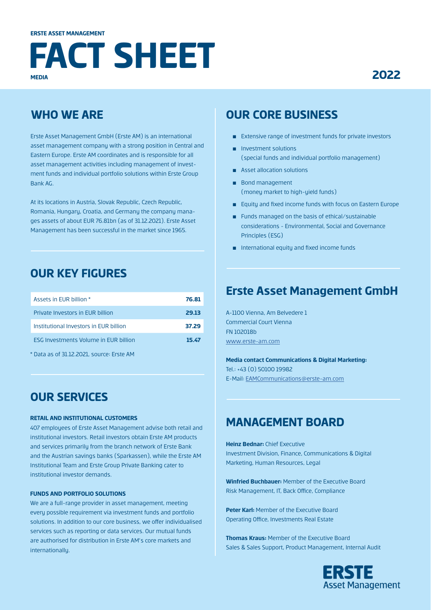# **MEDIA FACT SHEET**

# **2022**

# **WHO WE ARE**

Erste Asset Management GmbH (Erste AM) is an international asset management company with a strong position in Central and Eastern Europe. Erste AM coordinates and is responsible for all asset management activities including management of investment funds and individual portfolio solutions within Erste Group Bank AG.

At its locations in Austria, Slovak Republic, Czech Republic, Romania, Hungary, Croatia, and Germany the company manages assets of about EUR 76.81bn (as of 31.12.2021). Erste Asset Management has been successful in the market since 1965.

# **OUR KEY FIGURES**

| Assets in FUR billion *                      | 76.81 |
|----------------------------------------------|-------|
| Private Investors in EUR billion             | 29.13 |
| Institutional Investors in EUR billion       | 37.29 |
| <b>FSG Investments Volume in FUR billion</b> | 15.47 |
| $+$ Dete as af DI 10.000 assumes Funta AM    |       |

Data as of 31.12.2021, source: Erste AM

### **OUR SERVICES**

#### **RETAIL AND INSTITUTIONAL CUSTOMERS**

407 employees of Erste Asset Management advise both retail and institutional investors. Retail investors obtain Erste AM products and services primarily from the branch network of Erste Bank and the Austrian savings banks (Sparkassen), while the Erste AM Institutional Team and Erste Group Private Banking cater to institutional investor demands.

#### **FUNDS AND PORTFOLIO SOLUTIONS**

We are a full-range provider in asset management, meeting every possible requirement via investment funds and portfolio solutions. In addition to our core business, we offer individualised services such as reporting or data services. Our mutual funds are authorised for distribution in Erste AM's core markets and internationally.

### **OUR CORE BUSINESS**

- Extensive range of investment funds for private investors
- Investment solutions (special funds and individual portfolio management)
- Asset allocation solutions
- Bond management (money market to high-yield funds)
- Equity and fixed income funds with focus on Eastern Europe
- Funds managed on the basis of ethical/sustainable considerations - Environmental, Social and Governance Principles (ESG)
- International equity and fixed income funds

#### **Erste Asset Management GmbH**

A-1100 Vienna, Am Belvedere 1 Commercial Court Vienna FN 102018b [www.erste-am.com](http://www.erste-am.com)

**Media contact Communications & Digital Marketing:** Tel.: +43 (0) 50100 19982 E-Mail: [EAMCommunications@erste-am.com](mailto:EAMCommunications@erste-am.com)

#### **MANAGEMENT BOARD**

**Heinz Bednar:** Chief Executive Investment Division, Finance, Communications & Digital Marketing, Human Resources, Legal

**Winfried Buchbauer:** Member of the Executive Board Risk Management, IT, Back Office, Compliance

**Peter Karl:** Member of the Executive Board Operating Office, Investments Real Estate

**Thomas Kraus:** Member of the Executive Board Sales & Sales Support, Product Management, Internal Audit